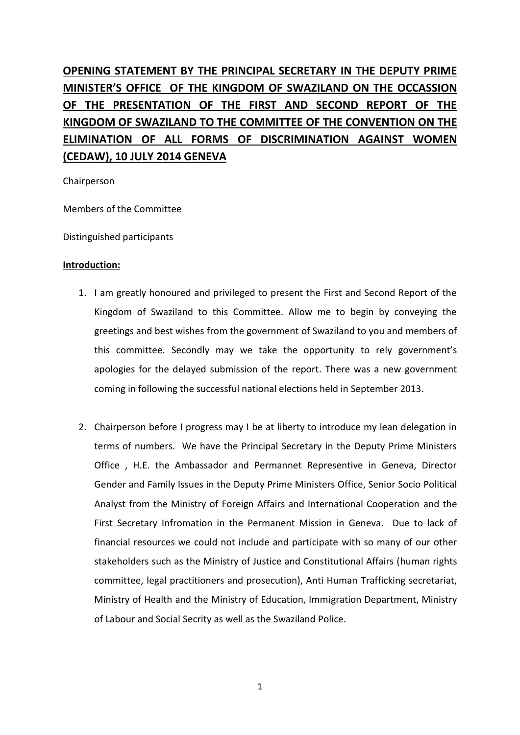# **OPENING STATEMENT BY THE PRINCIPAL SECRETARY IN THE DEPUTY PRIME MINISTER'S OFFICE OF THE KINGDOM OF SWAZILAND ON THE OCCASSION OF THE PRESENTATION OF THE FIRST AND SECOND REPORT OF THE KINGDOM OF SWAZILAND TO THE COMMITTEE OF THE CONVENTION ON THE ELIMINATION OF ALL FORMS OF DISCRIMINATION AGAINST WOMEN (CEDAW), 10 JULY 2014 GENEVA**

Chairperson

Members of the Committee

Distinguished participants

## **Introduction:**

- 1. I am greatly honoured and privileged to present the First and Second Report of the Kingdom of Swaziland to this Committee. Allow me to begin by conveying the greetings and best wishes from the government of Swaziland to you and members of this committee. Secondly may we take the opportunity to rely government's apologies for the delayed submission of the report. There was a new government coming in following the successful national elections held in September 2013.
- 2. Chairperson before I progress may I be at liberty to introduce my lean delegation in terms of numbers. We have the Principal Secretary in the Deputy Prime Ministers Office , H.E. the Ambassador and Permannet Representive in Geneva, Director Gender and Family Issues in the Deputy Prime Ministers Office, Senior Socio Political Analyst from the Ministry of Foreign Affairs and International Cooperation and the First Secretary Infromation in the Permanent Mission in Geneva. Due to lack of financial resources we could not include and participate with so many of our other stakeholders such as the Ministry of Justice and Constitutional Affairs (human rights committee, legal practitioners and prosecution), Anti Human Trafficking secretariat, Ministry of Health and the Ministry of Education, Immigration Department, Ministry of Labour and Social Secrity as well as the Swaziland Police.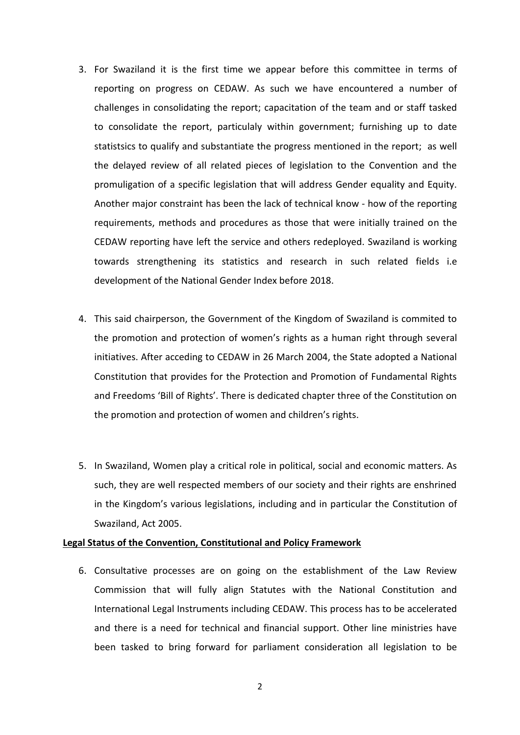- 3. For Swaziland it is the first time we appear before this committee in terms of reporting on progress on CEDAW. As such we have encountered a number of challenges in consolidating the report; capacitation of the team and or staff tasked to consolidate the report, particulaly within government; furnishing up to date statistsics to qualify and substantiate the progress mentioned in the report; as well the delayed review of all related pieces of legislation to the Convention and the promuligation of a specific legislation that will address Gender equality and Equity. Another major constraint has been the lack of technical know - how of the reporting requirements, methods and procedures as those that were initially trained on the CEDAW reporting have left the service and others redeployed. Swaziland is working towards strengthening its statistics and research in such related fields i.e development of the National Gender Index before 2018.
- 4. This said chairperson, the Government of the Kingdom of Swaziland is commited to the promotion and protection of women's rights as a human right through several initiatives. After acceding to CEDAW in 26 March 2004, the State adopted a National Constitution that provides for the Protection and Promotion of Fundamental Rights and Freedoms 'Bill of Rights'. There is dedicated chapter three of the Constitution on the promotion and protection of women and children's rights.
- 5. In Swaziland, Women play a critical role in political, social and economic matters. As such, they are well respected members of our society and their rights are enshrined in the Kingdom's various legislations, including and in particular the Constitution of Swaziland, Act 2005.

# **Legal Status of the Convention, Constitutional and Policy Framework**

6. Consultative processes are on going on the establishment of the Law Review Commission that will fully align Statutes with the National Constitution and International Legal Instruments including CEDAW. This process has to be accelerated and there is a need for technical and financial support. Other line ministries have been tasked to bring forward for parliament consideration all legislation to be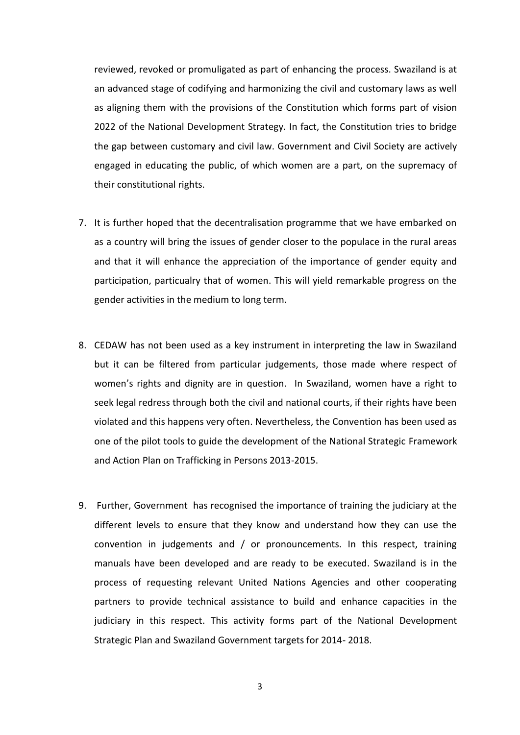reviewed, revoked or promuligated as part of enhancing the process. Swaziland is at an advanced stage of codifying and harmonizing the civil and customary laws as well as aligning them with the provisions of the Constitution which forms part of vision 2022 of the National Development Strategy. In fact, the Constitution tries to bridge the gap between customary and civil law. Government and Civil Society are actively engaged in educating the public, of which women are a part, on the supremacy of their constitutional rights.

- 7. It is further hoped that the decentralisation programme that we have embarked on as a country will bring the issues of gender closer to the populace in the rural areas and that it will enhance the appreciation of the importance of gender equity and participation, particualry that of women. This will yield remarkable progress on the gender activities in the medium to long term.
- 8. CEDAW has not been used as a key instrument in interpreting the law in Swaziland but it can be filtered from particular judgements, those made where respect of women's rights and dignity are in question. In Swaziland, women have a right to seek legal redress through both the civil and national courts, if their rights have been violated and this happens very often. Nevertheless, the Convention has been used as one of the pilot tools to guide the development of the National Strategic Framework and Action Plan on Trafficking in Persons 2013-2015.
- 9. Further, Government has recognised the importance of training the judiciary at the different levels to ensure that they know and understand how they can use the convention in judgements and / or pronouncements. In this respect, training manuals have been developed and are ready to be executed. Swaziland is in the process of requesting relevant United Nations Agencies and other cooperating partners to provide technical assistance to build and enhance capacities in the judiciary in this respect. This activity forms part of the National Development Strategic Plan and Swaziland Government targets for 2014- 2018.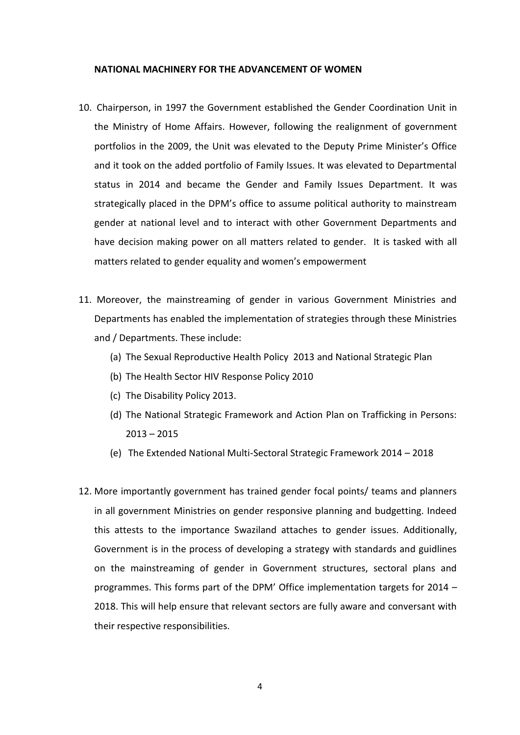#### **NATIONAL MACHINERY FOR THE ADVANCEMENT OF WOMEN**

- 10. Chairperson, in 1997 the Government established the Gender Coordination Unit in the Ministry of Home Affairs. However, following the realignment of government portfolios in the 2009, the Unit was elevated to the Deputy Prime Minister's Office and it took on the added portfolio of Family Issues. It was elevated to Departmental status in 2014 and became the Gender and Family Issues Department. It was strategically placed in the DPM's office to assume political authority to mainstream gender at national level and to interact with other Government Departments and have decision making power on all matters related to gender. It is tasked with all matters related to gender equality and women's empowerment
- 11. Moreover, the mainstreaming of gender in various Government Ministries and Departments has enabled the implementation of strategies through these Ministries and / Departments. These include:
	- (a) The Sexual Reproductive Health Policy 2013 and National Strategic Plan
	- (b) The Health Sector HIV Response Policy 2010
	- (c) The Disability Policy 2013.
	- (d) The National Strategic Framework and Action Plan on Trafficking in Persons: 2013 – 2015
	- (e) The Extended National Multi-Sectoral Strategic Framework 2014 2018
- 12. More importantly government has trained gender focal points/ teams and planners in all government Ministries on gender responsive planning and budgetting. Indeed this attests to the importance Swaziland attaches to gender issues. Additionally, Government is in the process of developing a strategy with standards and guidlines on the mainstreaming of gender in Government structures, sectoral plans and programmes. This forms part of the DPM' Office implementation targets for 2014 – 2018. This will help ensure that relevant sectors are fully aware and conversant with their respective responsibilities.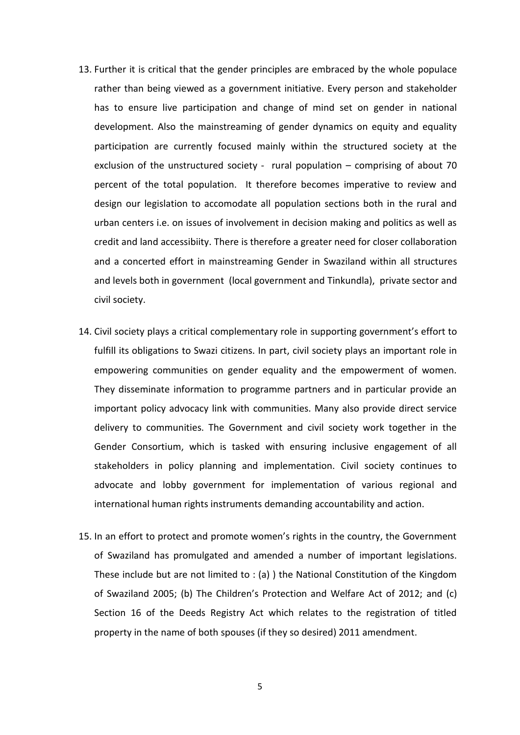- 13. Further it is critical that the gender principles are embraced by the whole populace rather than being viewed as a government initiative. Every person and stakeholder has to ensure live participation and change of mind set on gender in national development. Also the mainstreaming of gender dynamics on equity and equality participation are currently focused mainly within the structured society at the exclusion of the unstructured society - rural population – comprising of about 70 percent of the total population. It therefore becomes imperative to review and design our legislation to accomodate all population sections both in the rural and urban centers i.e. on issues of involvement in decision making and politics as well as credit and land accessibiity. There is therefore a greater need for closer collaboration and a concerted effort in mainstreaming Gender in Swaziland within all structures and levels both in government (local government and Tinkundla), private sector and civil society.
- 14. Civil society plays a critical complementary role in supporting government's effort to fulfill its obligations to Swazi citizens. In part, civil society plays an important role in empowering communities on gender equality and the empowerment of women. They disseminate information to programme partners and in particular provide an important policy advocacy link with communities. Many also provide direct service delivery to communities. The Government and civil society work together in the Gender Consortium, which is tasked with ensuring inclusive engagement of all stakeholders in policy planning and implementation. Civil society continues to advocate and lobby government for implementation of various regional and international human rights instruments demanding accountability and action.
- 15. In an effort to protect and promote women's rights in the country, the Government of Swaziland has promulgated and amended a number of important legislations. These include but are not limited to : (a) ) the National Constitution of the Kingdom of Swaziland 2005; (b) The Children's Protection and Welfare Act of 2012; and (c) Section 16 of the Deeds Registry Act which relates to the registration of titled property in the name of both spouses (if they so desired) 2011 amendment.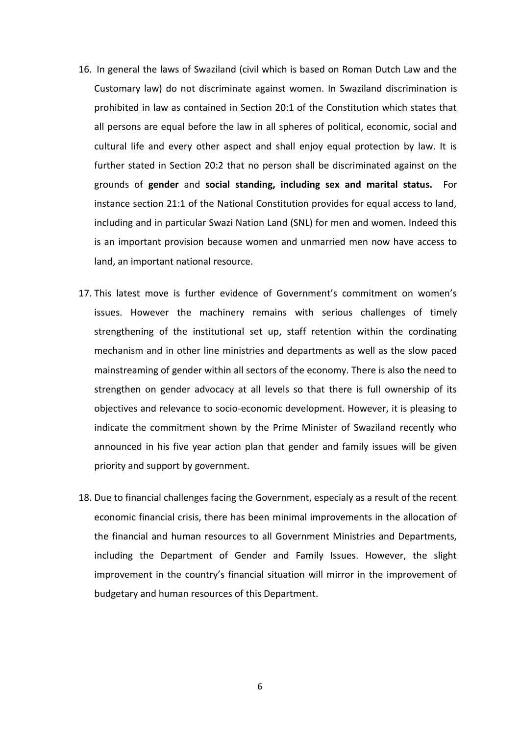- 16. In general the laws of Swaziland (civil which is based on Roman Dutch Law and the Customary law) do not discriminate against women. In Swaziland discrimination is prohibited in law as contained in Section 20:1 of the Constitution which states that all persons are equal before the law in all spheres of political, economic, social and cultural life and every other aspect and shall enjoy equal protection by law. It is further stated in Section 20:2 that no person shall be discriminated against on the grounds of **gender** and **social standing, including sex and marital status.** For instance section 21:1 of the National Constitution provides for equal access to land, including and in particular Swazi Nation Land (SNL) for men and women. Indeed this is an important provision because women and unmarried men now have access to land, an important national resource.
- 17. This latest move is further evidence of Government's commitment on women's issues. However the machinery remains with serious challenges of timely strengthening of the institutional set up, staff retention within the cordinating mechanism and in other line ministries and departments as well as the slow paced mainstreaming of gender within all sectors of the economy. There is also the need to strengthen on gender advocacy at all levels so that there is full ownership of its objectives and relevance to socio-economic development. However, it is pleasing to indicate the commitment shown by the Prime Minister of Swaziland recently who announced in his five year action plan that gender and family issues will be given priority and support by government.
- 18. Due to financial challenges facing the Government, especialy as a result of the recent economic financial crisis, there has been minimal improvements in the allocation of the financial and human resources to all Government Ministries and Departments, including the Department of Gender and Family Issues. However, the slight improvement in the country's financial situation will mirror in the improvement of budgetary and human resources of this Department.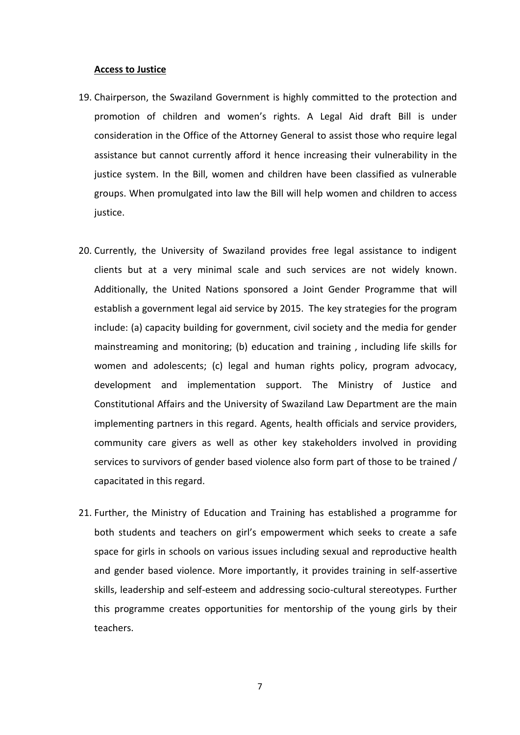#### **Access to Justice**

- 19. Chairperson, the Swaziland Government is highly committed to the protection and promotion of children and women's rights. A Legal Aid draft Bill is under consideration in the Office of the Attorney General to assist those who require legal assistance but cannot currently afford it hence increasing their vulnerability in the justice system. In the Bill, women and children have been classified as vulnerable groups. When promulgated into law the Bill will help women and children to access justice.
- 20. Currently, the University of Swaziland provides free legal assistance to indigent clients but at a very minimal scale and such services are not widely known. Additionally, the United Nations sponsored a Joint Gender Programme that will establish a government legal aid service by 2015. The key strategies for the program include: (a) capacity building for government, civil society and the media for gender mainstreaming and monitoring; (b) education and training , including life skills for women and adolescents; (c) legal and human rights policy, program advocacy, development and implementation support. The Ministry of Justice and Constitutional Affairs and the University of Swaziland Law Department are the main implementing partners in this regard. Agents, health officials and service providers, community care givers as well as other key stakeholders involved in providing services to survivors of gender based violence also form part of those to be trained / capacitated in this regard.
- 21. Further, the Ministry of Education and Training has established a programme for both students and teachers on girl's empowerment which seeks to create a safe space for girls in schools on various issues including sexual and reproductive health and gender based violence. More importantly, it provides training in self-assertive skills, leadership and self-esteem and addressing socio-cultural stereotypes. Further this programme creates opportunities for mentorship of the young girls by their teachers.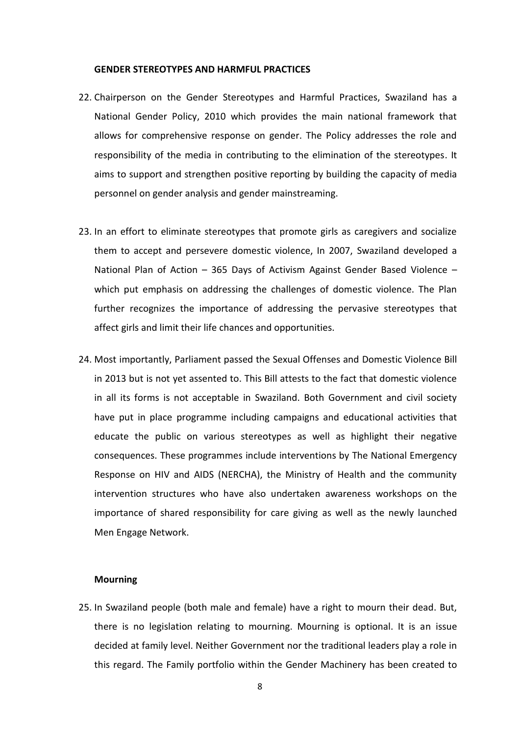#### **GENDER STEREOTYPES AND HARMFUL PRACTICES**

- 22. Chairperson on the Gender Stereotypes and Harmful Practices, Swaziland has a National Gender Policy, 2010 which provides the main national framework that allows for comprehensive response on gender. The Policy addresses the role and responsibility of the media in contributing to the elimination of the stereotypes. It aims to support and strengthen positive reporting by building the capacity of media personnel on gender analysis and gender mainstreaming.
- 23. In an effort to eliminate stereotypes that promote girls as caregivers and socialize them to accept and persevere domestic violence, In 2007, Swaziland developed a National Plan of Action – 365 Days of Activism Against Gender Based Violence – which put emphasis on addressing the challenges of domestic violence. The Plan further recognizes the importance of addressing the pervasive stereotypes that affect girls and limit their life chances and opportunities.
- 24. Most importantly, Parliament passed the Sexual Offenses and Domestic Violence Bill in 2013 but is not yet assented to. This Bill attests to the fact that domestic violence in all its forms is not acceptable in Swaziland. Both Government and civil society have put in place programme including campaigns and educational activities that educate the public on various stereotypes as well as highlight their negative consequences. These programmes include interventions by The National Emergency Response on HIV and AIDS (NERCHA), the Ministry of Health and the community intervention structures who have also undertaken awareness workshops on the importance of shared responsibility for care giving as well as the newly launched Men Engage Network.

#### **Mourning**

25. In Swaziland people (both male and female) have a right to mourn their dead. But, there is no legislation relating to mourning. Mourning is optional. It is an issue decided at family level. Neither Government nor the traditional leaders play a role in this regard. The Family portfolio within the Gender Machinery has been created to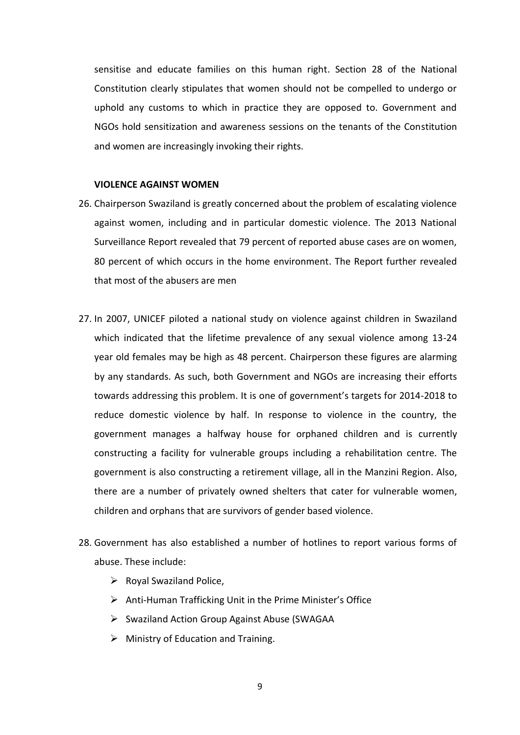sensitise and educate families on this human right. Section 28 of the National Constitution clearly stipulates that women should not be compelled to undergo or uphold any customs to which in practice they are opposed to. Government and NGOs hold sensitization and awareness sessions on the tenants of the Constitution and women are increasingly invoking their rights.

## **VIOLENCE AGAINST WOMEN**

- 26. Chairperson Swaziland is greatly concerned about the problem of escalating violence against women, including and in particular domestic violence. The 2013 National Surveillance Report revealed that 79 percent of reported abuse cases are on women, 80 percent of which occurs in the home environment. The Report further revealed that most of the abusers are men
- 27. In 2007, UNICEF piloted a national study on violence against children in Swaziland which indicated that the lifetime prevalence of any sexual violence among 13-24 year old females may be high as 48 percent. Chairperson these figures are alarming by any standards. As such, both Government and NGOs are increasing their efforts towards addressing this problem. It is one of government's targets for 2014-2018 to reduce domestic violence by half. In response to violence in the country, the government manages a halfway house for orphaned children and is currently constructing a facility for vulnerable groups including a rehabilitation centre. The government is also constructing a retirement village, all in the Manzini Region. Also, there are a number of privately owned shelters that cater for vulnerable women, children and orphans that are survivors of gender based violence.
- 28. Government has also established a number of hotlines to report various forms of abuse. These include:
	- $\triangleright$  Royal Swaziland Police,
	- $\triangleright$  Anti-Human Trafficking Unit in the Prime Minister's Office
	- $\triangleright$  Swaziland Action Group Against Abuse (SWAGAA
	- $\triangleright$  Ministry of Education and Training.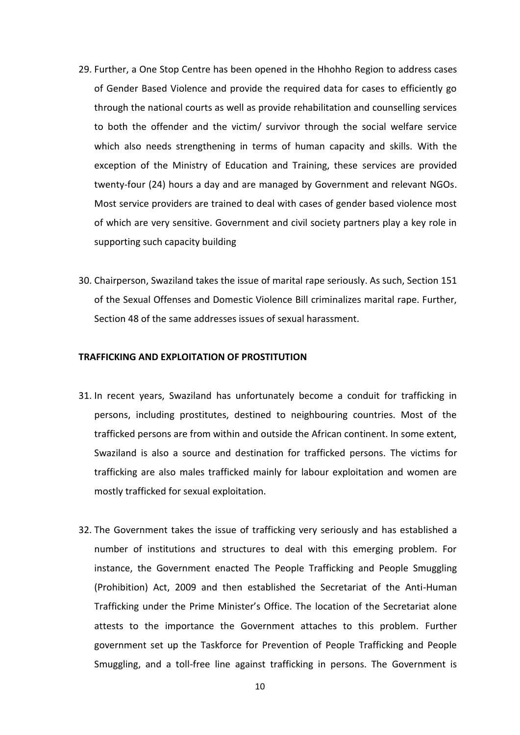- 29. Further, a One Stop Centre has been opened in the Hhohho Region to address cases of Gender Based Violence and provide the required data for cases to efficiently go through the national courts as well as provide rehabilitation and counselling services to both the offender and the victim/ survivor through the social welfare service which also needs strengthening in terms of human capacity and skills. With the exception of the Ministry of Education and Training, these services are provided twenty-four (24) hours a day and are managed by Government and relevant NGOs. Most service providers are trained to deal with cases of gender based violence most of which are very sensitive. Government and civil society partners play a key role in supporting such capacity building
- 30. Chairperson, Swaziland takes the issue of marital rape seriously. As such, Section 151 of the Sexual Offenses and Domestic Violence Bill criminalizes marital rape. Further, Section 48 of the same addresses issues of sexual harassment.

#### **TRAFFICKING AND EXPLOITATION OF PROSTITUTION**

- 31. In recent years, Swaziland has unfortunately become a conduit for trafficking in persons, including prostitutes, destined to neighbouring countries. Most of the trafficked persons are from within and outside the African continent. In some extent, Swaziland is also a source and destination for trafficked persons. The victims for trafficking are also males trafficked mainly for labour exploitation and women are mostly trafficked for sexual exploitation.
- 32. The Government takes the issue of trafficking very seriously and has established a number of institutions and structures to deal with this emerging problem. For instance, the Government enacted The People Trafficking and People Smuggling (Prohibition) Act, 2009 and then established the Secretariat of the Anti-Human Trafficking under the Prime Minister's Office. The location of the Secretariat alone attests to the importance the Government attaches to this problem. Further government set up the Taskforce for Prevention of People Trafficking and People Smuggling, and a toll-free line against trafficking in persons. The Government is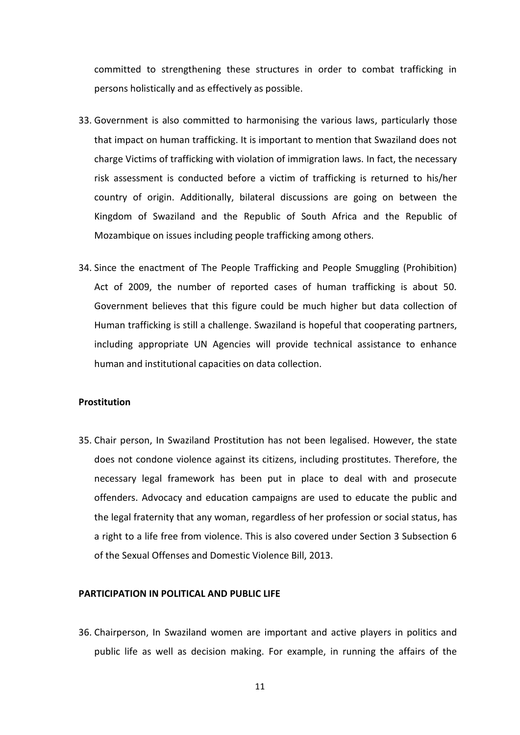committed to strengthening these structures in order to combat trafficking in persons holistically and as effectively as possible.

- 33. Government is also committed to harmonising the various laws, particularly those that impact on human trafficking. It is important to mention that Swaziland does not charge Victims of trafficking with violation of immigration laws. In fact, the necessary risk assessment is conducted before a victim of trafficking is returned to his/her country of origin. Additionally, bilateral discussions are going on between the Kingdom of Swaziland and the Republic of South Africa and the Republic of Mozambique on issues including people trafficking among others.
- 34. Since the enactment of The People Trafficking and People Smuggling (Prohibition) Act of 2009, the number of reported cases of human trafficking is about 50. Government believes that this figure could be much higher but data collection of Human trafficking is still a challenge. Swaziland is hopeful that cooperating partners, including appropriate UN Agencies will provide technical assistance to enhance human and institutional capacities on data collection.

## **Prostitution**

35. Chair person, In Swaziland Prostitution has not been legalised. However, the state does not condone violence against its citizens, including prostitutes. Therefore, the necessary legal framework has been put in place to deal with and prosecute offenders. Advocacy and education campaigns are used to educate the public and the legal fraternity that any woman, regardless of her profession or social status, has a right to a life free from violence. This is also covered under Section 3 Subsection 6 of the Sexual Offenses and Domestic Violence Bill, 2013.

#### **PARTICIPATION IN POLITICAL AND PUBLIC LIFE**

36. Chairperson, In Swaziland women are important and active players in politics and public life as well as decision making. For example, in running the affairs of the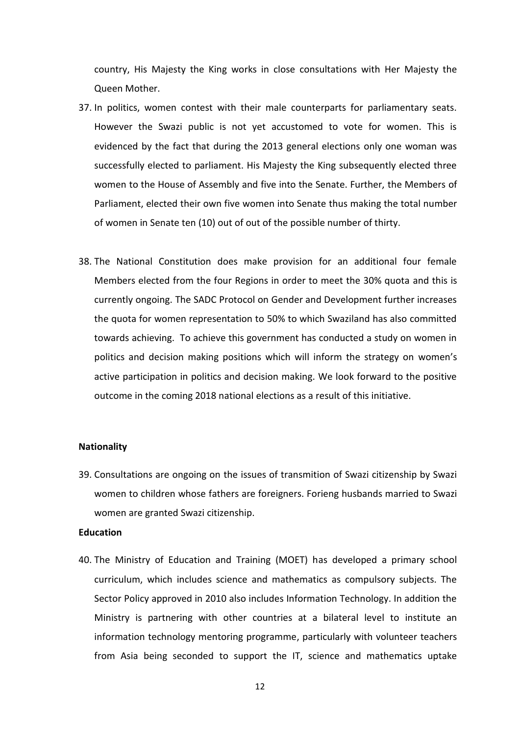country, His Majesty the King works in close consultations with Her Majesty the Queen Mother.

- 37. In politics, women contest with their male counterparts for parliamentary seats. However the Swazi public is not yet accustomed to vote for women. This is evidenced by the fact that during the 2013 general elections only one woman was successfully elected to parliament. His Majesty the King subsequently elected three women to the House of Assembly and five into the Senate. Further, the Members of Parliament, elected their own five women into Senate thus making the total number of women in Senate ten (10) out of out of the possible number of thirty.
- 38. The National Constitution does make provision for an additional four female Members elected from the four Regions in order to meet the 30% quota and this is currently ongoing. The SADC Protocol on Gender and Development further increases the quota for women representation to 50% to which Swaziland has also committed towards achieving. To achieve this government has conducted a study on women in politics and decision making positions which will inform the strategy on women's active participation in politics and decision making. We look forward to the positive outcome in the coming 2018 national elections as a result of this initiative.

## **Nationality**

39. Consultations are ongoing on the issues of transmition of Swazi citizenship by Swazi women to children whose fathers are foreigners. Forieng husbands married to Swazi women are granted Swazi citizenship.

## **Education**

40. The Ministry of Education and Training (MOET) has developed a primary school curriculum, which includes science and mathematics as compulsory subjects. The Sector Policy approved in 2010 also includes Information Technology. In addition the Ministry is partnering with other countries at a bilateral level to institute an information technology mentoring programme, particularly with volunteer teachers from Asia being seconded to support the IT, science and mathematics uptake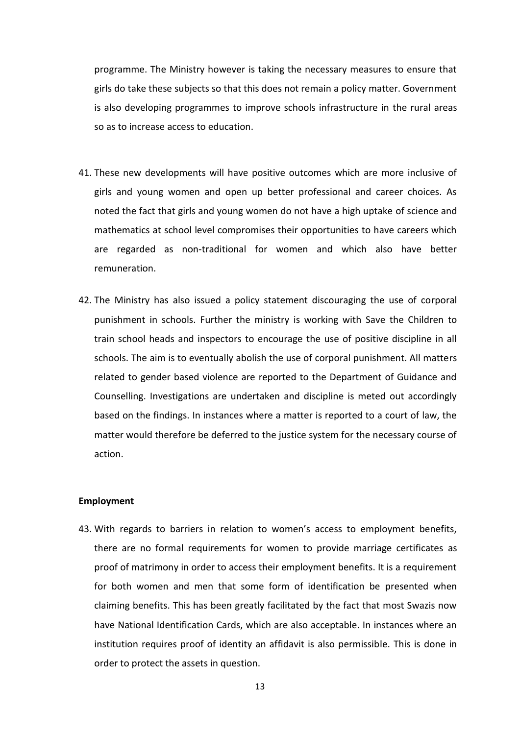programme. The Ministry however is taking the necessary measures to ensure that girls do take these subjects so that this does not remain a policy matter. Government is also developing programmes to improve schools infrastructure in the rural areas so as to increase access to education.

- 41. These new developments will have positive outcomes which are more inclusive of girls and young women and open up better professional and career choices. As noted the fact that girls and young women do not have a high uptake of science and mathematics at school level compromises their opportunities to have careers which are regarded as non-traditional for women and which also have better remuneration.
- 42. The Ministry has also issued a policy statement discouraging the use of corporal punishment in schools. Further the ministry is working with Save the Children to train school heads and inspectors to encourage the use of positive discipline in all schools. The aim is to eventually abolish the use of corporal punishment. All matters related to gender based violence are reported to the Department of Guidance and Counselling. Investigations are undertaken and discipline is meted out accordingly based on the findings. In instances where a matter is reported to a court of law, the matter would therefore be deferred to the justice system for the necessary course of action.

# **Employment**

43. With regards to barriers in relation to women's access to employment benefits, there are no formal requirements for women to provide marriage certificates as proof of matrimony in order to access their employment benefits. It is a requirement for both women and men that some form of identification be presented when claiming benefits. This has been greatly facilitated by the fact that most Swazis now have National Identification Cards, which are also acceptable. In instances where an institution requires proof of identity an affidavit is also permissible. This is done in order to protect the assets in question.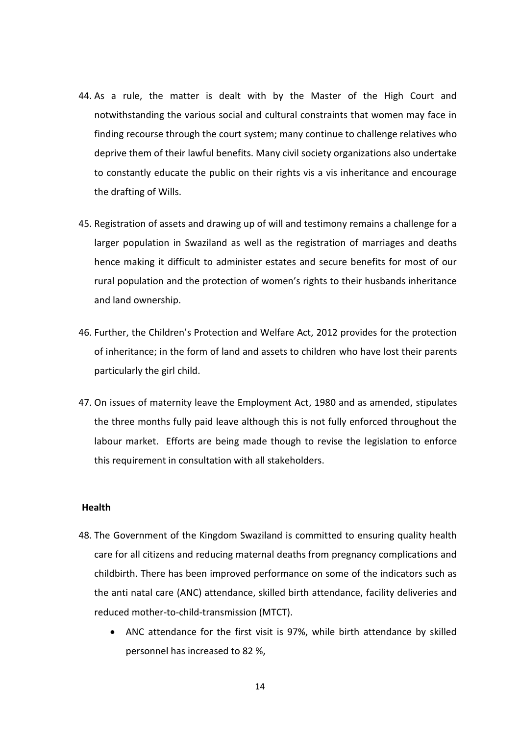- 44. As a rule, the matter is dealt with by the Master of the High Court and notwithstanding the various social and cultural constraints that women may face in finding recourse through the court system; many continue to challenge relatives who deprive them of their lawful benefits. Many civil society organizations also undertake to constantly educate the public on their rights vis a vis inheritance and encourage the drafting of Wills.
- 45. Registration of assets and drawing up of will and testimony remains a challenge for a larger population in Swaziland as well as the registration of marriages and deaths hence making it difficult to administer estates and secure benefits for most of our rural population and the protection of women's rights to their husbands inheritance and land ownership.
- 46. Further, the Children's Protection and Welfare Act, 2012 provides for the protection of inheritance; in the form of land and assets to children who have lost their parents particularly the girl child.
- 47. On issues of maternity leave the Employment Act, 1980 and as amended, stipulates the three months fully paid leave although this is not fully enforced throughout the labour market. Efforts are being made though to revise the legislation to enforce this requirement in consultation with all stakeholders.

#### **Health**

- 48. The Government of the Kingdom Swaziland is committed to ensuring quality health care for all citizens and reducing maternal deaths from pregnancy complications and childbirth. There has been improved performance on some of the indicators such as the anti natal care (ANC) attendance, skilled birth attendance, facility deliveries and reduced mother-to-child-transmission (MTCT).
	- ANC attendance for the first visit is 97%, while birth attendance by skilled personnel has increased to 82 %,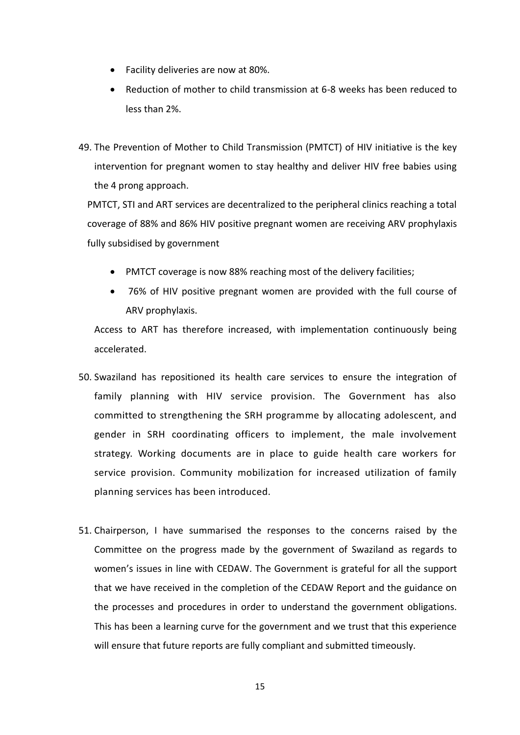- Facility deliveries are now at 80%.
- Reduction of mother to child transmission at 6-8 weeks has been reduced to less than 2%.
- 49. The Prevention of Mother to Child Transmission (PMTCT) of HIV initiative is the key intervention for pregnant women to stay healthy and deliver HIV free babies using the 4 prong approach.

PMTCT, STI and ART services are decentralized to the peripheral clinics reaching a total coverage of 88% and 86% HIV positive pregnant women are receiving ARV prophylaxis fully subsidised by government

- PMTCT coverage is now 88% reaching most of the delivery facilities;
- 76% of HIV positive pregnant women are provided with the full course of ARV prophylaxis.

Access to ART has therefore increased, with implementation continuously being accelerated.

- 50. Swaziland has repositioned its health care services to ensure the integration of family planning with HIV service provision. The Government has also committed to strengthening the SRH programme by allocating adolescent, and gender in SRH coordinating officers to implement, the male involvement strategy. Working documents are in place to guide health care workers for service provision. Community mobilization for increased utilization of family planning services has been introduced.
- 51. Chairperson, I have summarised the responses to the concerns raised by the Committee on the progress made by the government of Swaziland as regards to women's issues in line with CEDAW. The Government is grateful for all the support that we have received in the completion of the CEDAW Report and the guidance on the processes and procedures in order to understand the government obligations. This has been a learning curve for the government and we trust that this experience will ensure that future reports are fully compliant and submitted timeously.